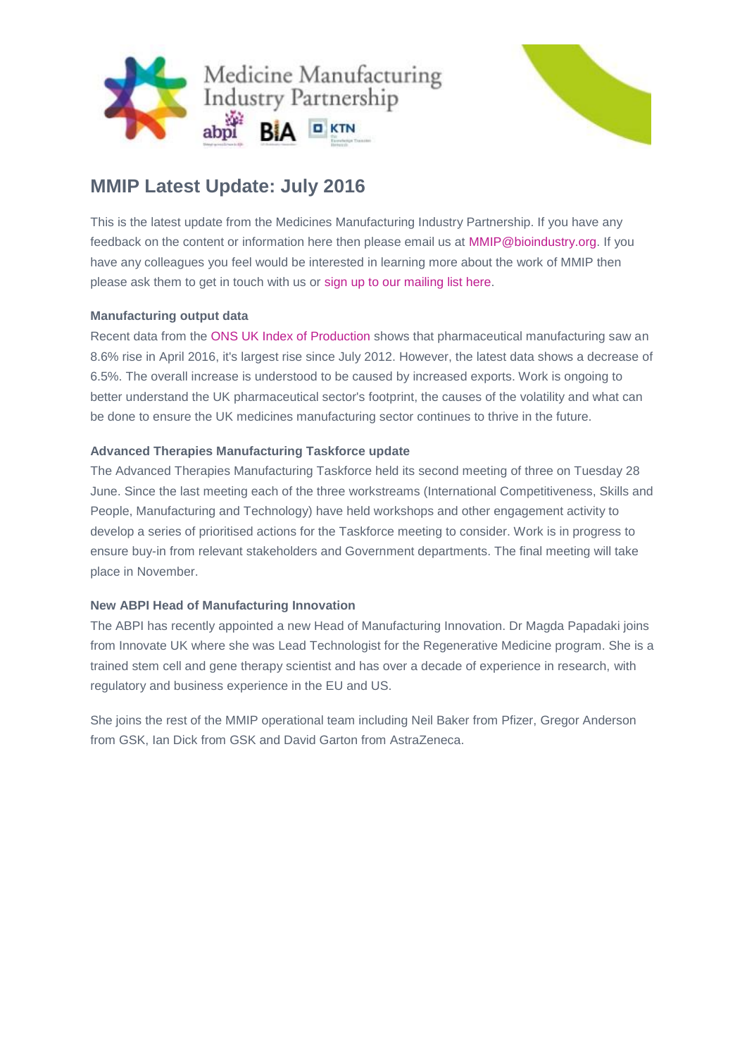



# **MMIP Latest Update: July 2016**

This is the latest update from the Medicines Manufacturing Industry Partnership. If you have any feedback on the content or information here then please email us at [MMIP@bioindustry.org.](mailto:MMIP@bioindustry.org) If you have any colleagues you feel would be interested in learning more about the work of MMIP then please ask them to get in touch with us or [sign up to our mailing list here.](mailto:MMIP@bioindustry.org?subject=Subscribe%20to%20mailing%20list)

# **Manufacturing output data**

Recent data from the [ONS UK Index of Production](http://dmtrk.net/2BTO-TY7F-479QQC-EE6GS-1/c.aspx) shows that pharmaceutical manufacturing saw an 8.6% rise in April 2016, it's largest rise since July 2012. However, the latest data shows a decrease of 6.5%. The overall increase is understood to be caused by increased exports. Work is ongoing to better understand the UK pharmaceutical sector's footprint, the causes of the volatility and what can be done to ensure the UK medicines manufacturing sector continues to thrive in the future.

# **Advanced Therapies Manufacturing Taskforce update**

The Advanced Therapies Manufacturing Taskforce held its second meeting of three on Tuesday 28 June. Since the last meeting each of the three workstreams (International Competitiveness, Skills and People, Manufacturing and Technology) have held workshops and other engagement activity to develop a series of prioritised actions for the Taskforce meeting to consider. Work is in progress to ensure buy-in from relevant stakeholders and Government departments. The final meeting will take place in November.

# **New ABPI Head of Manufacturing Innovation**

The ABPI has recently appointed a new Head of Manufacturing Innovation. Dr Magda Papadaki joins from Innovate UK where she was Lead Technologist for the Regenerative Medicine program. She is a trained stem cell and gene therapy scientist and has over a decade of experience in research, with regulatory and business experience in the EU and US.

She joins the rest of the MMIP operational team including Neil Baker from Pfizer, Gregor Anderson from GSK, Ian Dick from GSK and David Garton from AstraZeneca.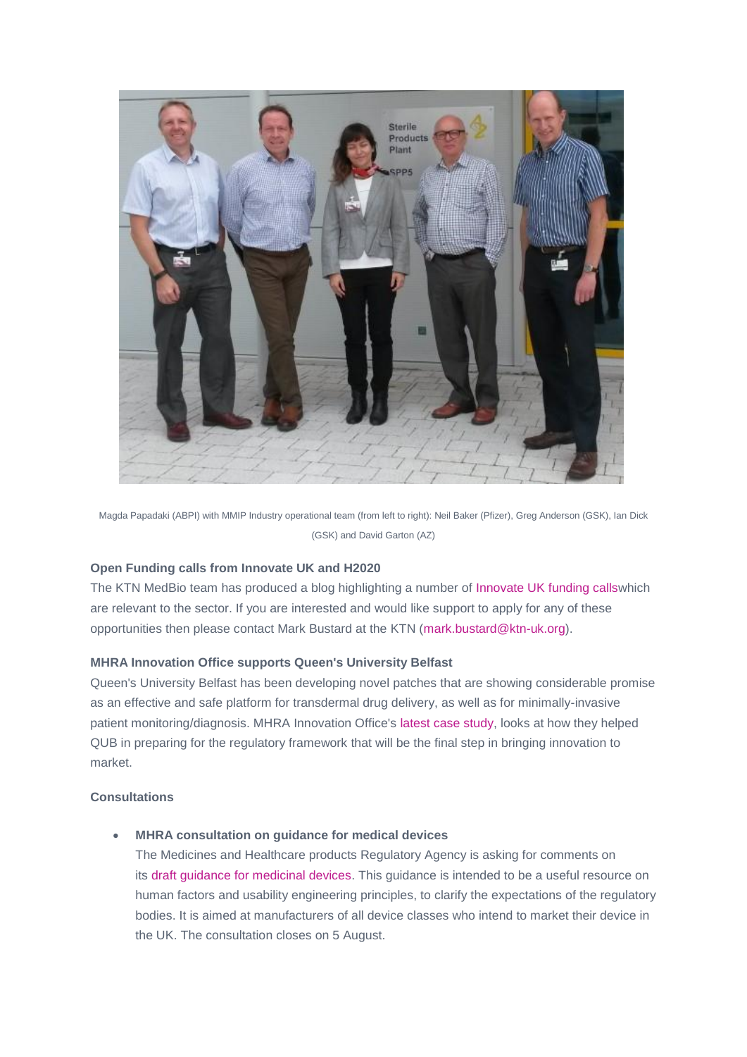

Magda Papadaki (ABPI) with MMIP Industry operational team (from left to right): Neil Baker (Pfizer), Greg Anderson (GSK), Ian Dick (GSK) and David Garton (AZ)

#### **Open Funding calls from Innovate UK and H2020**

The KTN MedBio team has produced a blog highlighting a number of [Innovate UK funding callsw](http://dmtrk.net/2BTO-TY7F-479QQC-EE6GT-1/c.aspx)hich are relevant to the sector. If you are interested and would like support to apply for any of these opportunities then please contact Mark Bustard at the KTN [\(mark.bustard@ktn-uk.org\)](mailto:mark.bustard@ktn-uk.org).

#### **MHRA Innovation Office supports Queen's University Belfast**

Queen's University Belfast has been developing novel patches that are showing considerable promise as an effective and safe platform for transdermal drug delivery, as well as for minimally-invasive patient monitoring/diagnosis. MHRA Innovation Office's [latest case study,](http://dmtrk.net/2BTO-TY7F-479QQC-EE6GU-1/c.aspx) looks at how they helped QUB in preparing for the regulatory framework that will be the final step in bringing innovation to market.

#### **Consultations**

**MHRA consultation on guidance for medical devices**

The Medicines and Healthcare products Regulatory Agency is asking for comments on its [draft guidance for medicinal devices.](http://dmtrk.net/2BTO-TY7F-479QQC-EE6GV-1/c.aspx) This guidance is intended to be a useful resource on human factors and usability engineering principles, to clarify the expectations of the regulatory bodies. It is aimed at manufacturers of all device classes who intend to market their device in the UK. The consultation closes on 5 August.